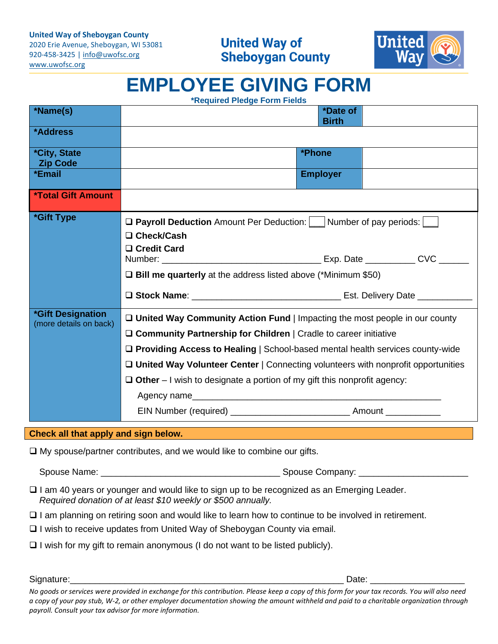920-458-3425 | [info@uwofsc.org](mailto:info@uwofsc.org) [www.uwofsc.org](http://www.uwofsc.org/)



## **EMPLOYEE GIVING FORM**

| <b>*Required Pledge Form Fields</b> |  |  |  |
|-------------------------------------|--|--|--|
|-------------------------------------|--|--|--|

| *Name(s)                                                                      | *Date of<br><b>Birth</b>                                                                                                                                                                                                                                                                                                                                                                                                          |  |  |
|-------------------------------------------------------------------------------|-----------------------------------------------------------------------------------------------------------------------------------------------------------------------------------------------------------------------------------------------------------------------------------------------------------------------------------------------------------------------------------------------------------------------------------|--|--|
| *Address                                                                      |                                                                                                                                                                                                                                                                                                                                                                                                                                   |  |  |
| <i><b>*City, State</b></i><br><b>Zip Code</b>                                 | *Phone                                                                                                                                                                                                                                                                                                                                                                                                                            |  |  |
| *Email                                                                        | <b>Employer</b>                                                                                                                                                                                                                                                                                                                                                                                                                   |  |  |
| <b>*Total Gift Amount</b>                                                     |                                                                                                                                                                                                                                                                                                                                                                                                                                   |  |  |
| *Gift Type                                                                    | <b>D</b> Payroll Deduction Amount Per Deduction: Mumber of pay periods:<br>□ Check/Cash<br>□ Credit Card<br>$\square$ Bill me quarterly at the address listed above (*Minimum \$50)                                                                                                                                                                                                                                               |  |  |
|                                                                               |                                                                                                                                                                                                                                                                                                                                                                                                                                   |  |  |
| *Gift Designation<br>(more details on back)                                   | $\Box$ United Way Community Action Fund   Impacting the most people in our county<br>□ Community Partnership for Children   Cradle to career initiative<br>□ Providing Access to Healing   School-based mental health services county-wide<br>□ United Way Volunteer Center   Connecting volunteers with nonprofit opportunities<br>$\Box$ Other – I wish to designate a portion of my gift this nonprofit agency:<br>Agency name |  |  |
|                                                                               |                                                                                                                                                                                                                                                                                                                                                                                                                                   |  |  |
| Check all that apply and sign below.                                          |                                                                                                                                                                                                                                                                                                                                                                                                                                   |  |  |
| $\Box$ My spouse/partner contributes, and we would like to combine our gifts. |                                                                                                                                                                                                                                                                                                                                                                                                                                   |  |  |
|                                                                               |                                                                                                                                                                                                                                                                                                                                                                                                                                   |  |  |

- ❑ I am 40 years or younger and would like to sign up to be recognized as an Emerging Leader. *Required donation of at least \$10 weekly or \$500 annually.*
- ❑ I am planning on retiring soon and would like to learn how to continue to be involved in retirement.
- ❑ I wish to receive updates from United Way of Sheboygan County via email.
- ❑ I wish for my gift to remain anonymous (I do not want to be listed publicly).

Signature:\_\_\_\_\_\_\_\_\_\_\_\_\_\_\_\_\_\_\_\_\_\_\_\_\_\_\_\_\_\_\_\_\_\_\_\_\_\_\_\_\_\_\_\_\_\_\_\_\_\_\_\_\_\_\_ Date: \_\_\_\_\_\_\_\_\_\_\_\_\_\_\_\_\_\_\_

*No goods or services were provided in exchange for this contribution. Please keep a copy of this form for your tax records. You will also need a copy of your pay stub, W-2, or other employer documentation showing the amount withheld and paid to a charitable organization through payroll. Consult your tax advisor for more information.*